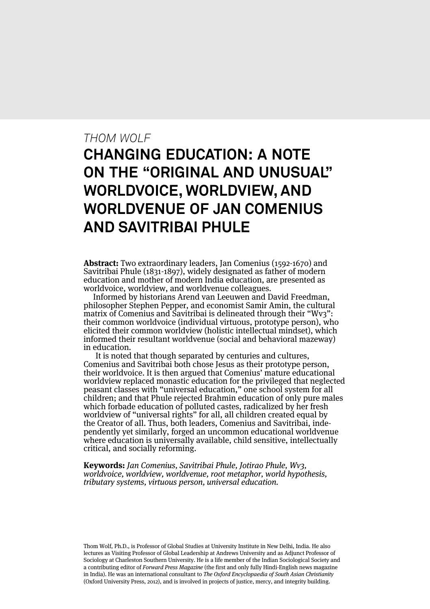## *THOM WOLF*

# **CHANGING EDUCATION: A NOTE ON THE "ORIGINAL AND UNUSUAL" WORLDVOICE, WORLDVIEW, AND WORLDVENUE OF JAN COMENIUS AND SAVITRIBAI PHULE**

**Abstract:** Two extraordinary leaders, Jan Comenius (1592-1670) and Savitribai Phule (1831-1897), widely designated as father of modern education and mother of modern India education, are presented as worldvoice, worldview, and worldvenue colleagues.

Informed by historians Arend van Leeuwen and David Freedman, philosopher Stephen Pepper, and economist Samir Amin, the cultural matrix of Comenius and Savitribai is delineated through their "Wv3": their common worldvoice (individual virtuous, prototype person), who elicited their common worldview (holistic intellectual mindset), which informed their resultant worldvenue (social and behavioral mazeway) in education.

It is noted that though separated by centuries and cultures, Comenius and Savitribai both chose Jesus as their prototype person, their worldvoice. It is then argued that Comenius' mature educational worldview replaced monastic education for the privileged that neglected peasant classes with "universal education," one school system for all children; and that Phule rejected Brahmin education of only pure males which forbade education of polluted castes, radicalized by her fresh worldview of "universal rights" for all, all children created equal by the Creator of all. Thus, both leaders, Comenius and Savitribai, independently yet similarly, forged an uncommon educational worldvenue where education is universally available, child sensitive, intellectually critical, and socially reforming.

**Keywords:** Jan Comenius, Savitribai Phule, Jotirao Phule, Wv3, worldvoice, worldview, worldvenue, root metaphor, world hypothesis, tributary systems, virtuous person, universal education.

Thom Wolf, Ph.D., is Professor of Global Studies at University Institute in New Delhi, India. He also lectures as Visiting Professor of Global Leadership at Andrews University and as Adjunct Professor of Sociology at Charleston Southern University. He is a life member of the Indian Sociological Society and a contributing editor of Forward Press Magazine (the first and only fully Hindi-English news magazine in India). He was an international consultant to The Oxford Encyclopaedia of South Asian Christianity (Oxford University Press, 2012), and is involved in projects of justice, mercy, and integrity building.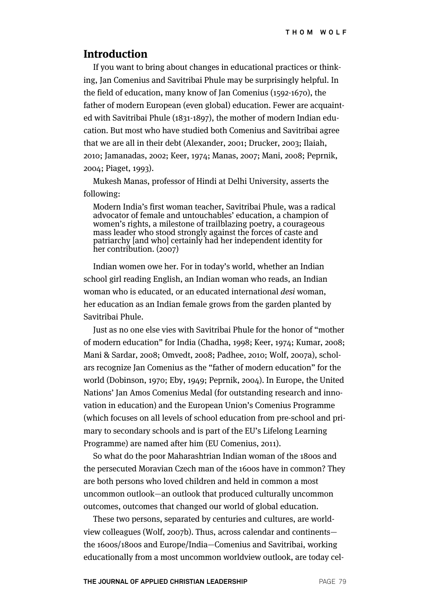#### **Introduction**

If you want to bring about changes in educational practices or thinking, Jan Comenius and Savitribai Phule may be surprisingly helpful. In the field of education, many know of Jan Comenius (1592-1670), the father of modern European (even global) education. Fewer are acquainted with Savitribai Phule (1831-1897), the mother of modern Indian education. But most who have studied both Comenius and Savitribai agree that we are all in their debt (Alexander, 2001; Drucker, 2003; Ilaiah, 2010; Jamanadas, 2002; Keer, 1974; Manas, 2007; Mani, 2008; Peprnik, 2004; Piaget, 1993).

Mukesh Manas, professor of Hindi at Delhi University, asserts the following:

Modern India's first woman teacher, Savitribai Phule, was a radical advocator of female and untouchables' education, a champion of women's rights, a milestone of trailblazing poetry, a courageous mass leader who stood strongly against the forces of caste and patriarchy [and who] certainly had her independent identity for her contribution. (2007)

Indian women owe her. For in today's world, whether an Indian school girl reading English, an Indian woman who reads, an Indian woman who is educated, or an educated international desi woman, her education as an Indian female grows from the garden planted by Savitribai Phule.

Just as no one else vies with Savitribai Phule for the honor of "mother of modern education" for India (Chadha, 1998; Keer, 1974; Kumar, 2008; Mani & Sardar, 2008; Omvedt, 2008; Padhee, 2010; Wolf, 2007a), scholars recognize Jan Comenius as the "father of modern education" for the world (Dobinson, 1970; Eby, 1949; Peprnik, 2004). In Europe, the United Nations' Jan Amos Comenius Medal (for outstanding research and innovation in education) and the European Union's Comenius Programme (which focuses on all levels of school education from pre-school and primary to secondary schools and is part of the EU's Lifelong Learning Programme) are named after him (EU Comenius, 2011).

So what do the poor Maharashtrian Indian woman of the 1800s and the persecuted Moravian Czech man of the 1600s have in common? They are both persons who loved children and held in common a most uncommon outlook—an outlook that produced culturally uncommon outcomes, outcomes that changed our world of global education.

These two persons, separated by centuries and cultures, are worldview colleagues (Wolf, 2007b). Thus, across calendar and continents the 1600s/1800s and Europe/India—Comenius and Savitribai, working educationally from a most uncommon worldview outlook, are today cel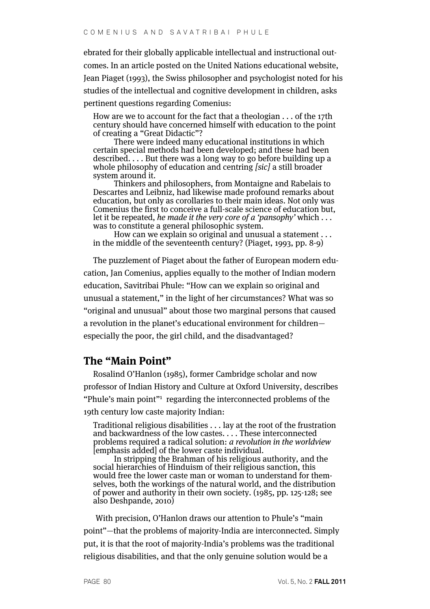ebrated for their globally applicable intellectual and instructional outcomes. In an article posted on the United Nations educational website, Jean Piaget (1993), the Swiss philosopher and psychologist noted for his studies of the intellectual and cognitive development in children, asks pertinent questions regarding Comenius:

How are we to account for the fact that a theologian . . . of the 17th century should have concerned himself with education to the point of creating a "Great Didactic"?

There were indeed many educational institutions in which certain special methods had been developed; and these had been described. . . . But there was a long way to go before building up a whole philosophy of education and centring [sic] a still broader system around it.

Thinkers and philosophers, from Montaigne and Rabelais to Descartes and Leibniz, had likewise made profound remarks about education, but only as corollaries to their main ideas. Not only was Comenius the first to conceive a full-scale science of education but, let it be repeated, he made it the very core of a 'pansophy' which  $\dots$ was to constitute a general philosophic system.

How can we explain so original and unusual a statement . . . in the middle of the seventeenth century? (Piaget, 1993, pp. 8-9)

The puzzlement of Piaget about the father of European modern education, Jan Comenius, applies equally to the mother of Indian modern education, Savitribai Phule: "How can we explain so original and unusual a statement," in the light of her circumstances? What was so "original and unusual" about those two marginal persons that caused a revolution in the planet's educational environment for children especially the poor, the girl child, and the disadvantaged?

#### **The "Main Point"**

Rosalind O'Hanlon (1985), former Cambridge scholar and now professor of Indian History and Culture at Oxford University, describes "Phule's main point"1 regarding the interconnected problems of the 19th century low caste majority Indian:

Traditional religious disabilities . . . lay at the root of the frustration and backwardness of the low castes. . . . These interconnected problems required a radical solution: *a revolution in the worldview* [emphasis added] of the lower caste individual.

In stripping the Brahman of his religious authority, and the social hierarchies of Hinduism of their religious sanction, this would free the lower caste man or woman to understand for themselves, both the workings of the natural world, and the distribution of power and authority in their own society. (1985, pp. 125-128; see also Deshpande, 2010)

With precision, O'Hanlon draws our attention to Phule's "main point"—that the problems of majority-India are interconnected. Simply put, it is that the root of majority-India's problems was the traditional religious disabilities, and that the only genuine solution would be a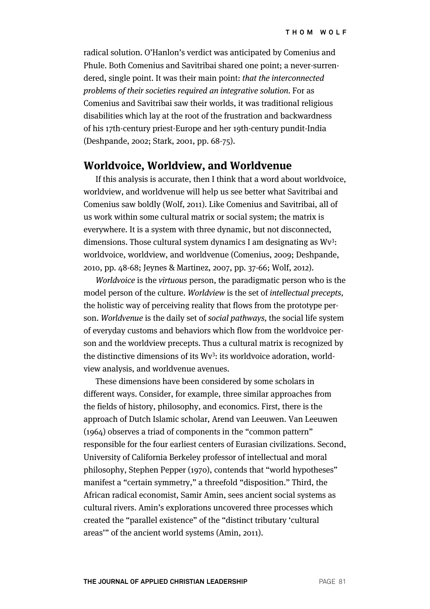radical solution. O'Hanlon's verdict was anticipated by Comenius and Phule. Both Comenius and Savitribai shared one point; a never-surrendered, single point. It was their main point: that the interconnected problems of their societies required an integrative solution. For as Comenius and Savitribai saw their worlds, it was traditional religious disabilities which lay at the root of the frustration and backwardness of his 17th-century priest-Europe and her 19th-century pundit-India (Deshpande, 2002; Stark, 2001, pp. 68-75).

#### **Worldvoice, Worldview, and Worldvenue**

If this analysis is accurate, then I think that a word about worldvoice, worldview, and worldvenue will help us see better what Savitribai and Comenius saw boldly (Wolf, 2011). Like Comenius and Savitribai, all of us work within some cultural matrix or social system; the matrix is everywhere. It is a system with three dynamic, but not disconnected, dimensions. Those cultural system dynamics I am designating as Wv<sup>3</sup>: worldvoice, worldview, and worldvenue (Comenius, 2009; Deshpande, 2010, pp. 48-68; Jeynes & Martinez, 2007, pp. 37-66; Wolf, 2012).

Worldvoice is the virtuous person, the paradigmatic person who is the model person of the culture. Worldview is the set of intellectual precepts, the holistic way of perceiving reality that flows from the prototype person. Worldvenue is the daily set of social pathways, the social life system of everyday customs and behaviors which flow from the worldvoice person and the worldview precepts. Thus a cultural matrix is recognized by the distinctive dimensions of its Wv<sup>3</sup>: its worldvoice adoration, worldview analysis, and worldvenue avenues.

These dimensions have been considered by some scholars in different ways. Consider, for example, three similar approaches from the fields of history, philosophy, and economics. First, there is the approach of Dutch Islamic scholar, Arend van Leeuwen. Van Leeuwen (1964) observes a triad of components in the "common pattern" responsible for the four earliest centers of Eurasian civilizations. Second, University of California Berkeley professor of intellectual and moral philosophy, Stephen Pepper (1970), contends that "world hypotheses" manifest a "certain symmetry," a threefold "disposition." Third, the African radical economist, Samir Amin, sees ancient social systems as cultural rivers. Amin's explorations uncovered three processes which created the "parallel existence" of the "distinct tributary 'cultural areas'" of the ancient world systems (Amin, 2011).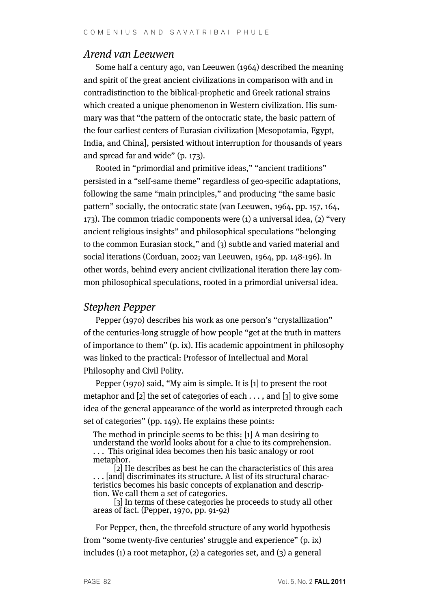## Arend van Leeuwen

Some half a century ago, van Leeuwen (1964) described the meaning and spirit of the great ancient civilizations in comparison with and in contradistinction to the biblical-prophetic and Greek rational strains which created a unique phenomenon in Western civilization. His summary was that "the pattern of the ontocratic state, the basic pattern of the four earliest centers of Eurasian civilization [Mesopotamia, Egypt, India, and China], persisted without interruption for thousands of years and spread far and wide" (p. 173).

Rooted in "primordial and primitive ideas," "ancient traditions" persisted in a "self-same theme" regardless of geo-specific adaptations, following the same "main principles," and producing "the same basic pattern" socially, the ontocratic state (van Leeuwen, 1964, pp. 157, 164, 173). The common triadic components were (1) a universal idea, (2) "very ancient religious insights" and philosophical speculations "belonging to the common Eurasian stock," and (3) subtle and varied material and social iterations (Corduan, 2002; van Leeuwen, 1964, pp. 148-196). In other words, behind every ancient civilizational iteration there lay common philosophical speculations, rooted in a primordial universal idea.

#### Stephen Pepper

Pepper (1970) describes his work as one person's "crystallization" of the centuries-long struggle of how people "get at the truth in matters of importance to them" (p. ix). His academic appointment in philosophy was linked to the practical: Professor of Intellectual and Moral Philosophy and Civil Polity.

Pepper (1970) said, "My aim is simple. It is [1] to present the root metaphor and [2] the set of categories of each . . . , and [3] to give some idea of the general appearance of the world as interpreted through each set of categories" (pp. 149). He explains these points:

The method in principle seems to be this: [1] A man desiring to understand the world looks about for a clue to its comprehension. . . . This original idea becomes then his basic analogy or root metaphor.

[2] He describes as best he can the characteristics of this area . . . [and] discriminates its structure. A list of its structural characteristics becomes his basic concepts of explanation and description. We call them a set of categories.

[3] In terms of these categories he proceeds to study all other areas of fact. (Pepper, 1970, pp. 91-92)

For Pepper, then, the threefold structure of any world hypothesis from "some twenty-five centuries' struggle and experience" (p. ix) includes (1) a root metaphor, (2) a categories set, and (3) a general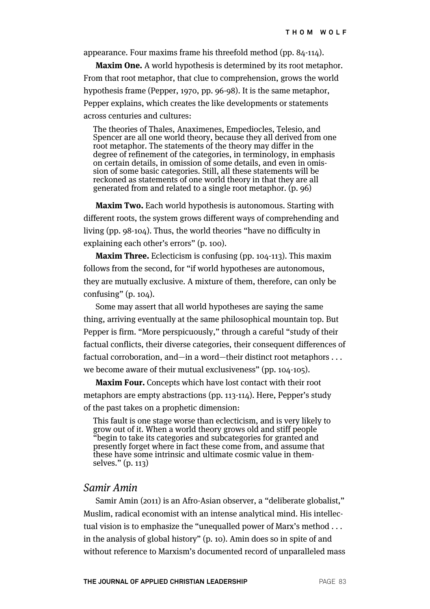appearance. Four maxims frame his threefold method (pp. 84-114).

**Maxim One.** A world hypothesis is determined by its root metaphor. From that root metaphor, that clue to comprehension, grows the world hypothesis frame (Pepper, 1970, pp. 96-98). It is the same metaphor, Pepper explains, which creates the like developments or statements across centuries and cultures:

The theories of Thales, Anaximenes, Empediocles, Telesio, and Spencer are all one world theory, because they all derived from one root metaphor. The statements of the theory may differ in the degree of refinement of the categories, in terminology, in emphasis on certain details, in omission of some details, and even in omission of some basic categories. Still, all these statements will be reckoned as statements of one world theory in that they are all generated from and related to a single root metaphor. (p. 96)

**Maxim Two.** Each world hypothesis is autonomous. Starting with different roots, the system grows different ways of comprehending and living (pp. 98-104). Thus, the world theories "have no difficulty in explaining each other's errors" (p. 100).

**Maxim Three.** Eclecticism is confusing (pp. 104-113). This maxim follows from the second, for "if world hypotheses are autonomous, they are mutually exclusive. A mixture of them, therefore, can only be confusing" (p. 104).

Some may assert that all world hypotheses are saying the same thing, arriving eventually at the same philosophical mountain top. But Pepper is firm. "More perspicuously," through a careful "study of their factual conflicts, their diverse categories, their consequent differences of factual corroboration, and—in a word—their distinct root metaphors . . . we become aware of their mutual exclusiveness" (pp. 104-105).

**Maxim Four.** Concepts which have lost contact with their root metaphors are empty abstractions (pp. 113-114). Here, Pepper's study of the past takes on a prophetic dimension:

This fault is one stage worse than eclecticism, and is very likely to grow out of it. When a world theory grows old and stiff people "begin to take its categories and subcategories for granted and presently forget where in fact these come from, and assume that these have some intrinsic and ultimate cosmic value in themselves." (p. 113)

#### Samir Amin

Samir Amin (2011) is an Afro-Asian observer, a "deliberate globalist," Muslim, radical economist with an intense analytical mind. His intellectual vision is to emphasize the "unequalled power of Marx's method . . . in the analysis of global history" (p. 10). Amin does so in spite of and without reference to Marxism's documented record of unparalleled mass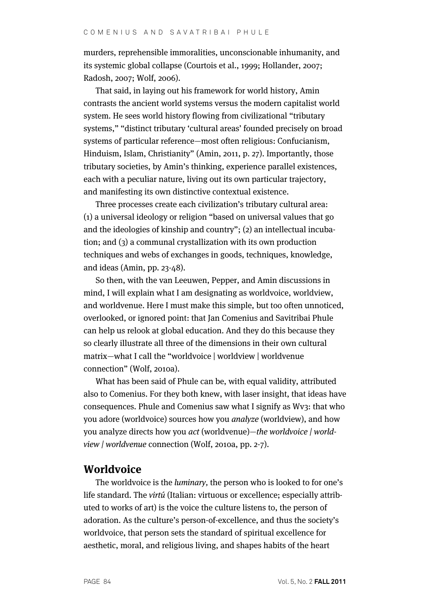murders, reprehensible immoralities, unconscionable inhumanity, and its systemic global collapse (Courtois et al., 1999; Hollander, 2007; Radosh, 2007; Wolf, 2006).

That said, in laying out his framework for world history, Amin contrasts the ancient world systems versus the modern capitalist world system. He sees world history flowing from civilizational "tributary systems," "distinct tributary 'cultural areas' founded precisely on broad systems of particular reference—most often religious: Confucianism, Hinduism, Islam, Christianity" (Amin, 2011, p. 27). Importantly, those tributary societies, by Amin's thinking, experience parallel existences, each with a peculiar nature, living out its own particular trajectory, and manifesting its own distinctive contextual existence.

Three processes create each civilization's tributary cultural area: (1) a universal ideology or religion "based on universal values that go and the ideologies of kinship and country"; (2) an intellectual incubation; and (3) a communal crystallization with its own production techniques and webs of exchanges in goods, techniques, knowledge, and ideas (Amin, pp. 23-48).

So then, with the van Leeuwen, Pepper, and Amin discussions in mind, I will explain what I am designating as worldvoice, worldview, and worldvenue. Here I must make this simple, but too often unnoticed, overlooked, or ignored point: that Jan Comenius and Savitribai Phule can help us relook at global education. And they do this because they so clearly illustrate all three of the dimensions in their own cultural matrix—what I call the "worldvoice | worldview | worldvenue connection" (Wolf, 2010a).

What has been said of Phule can be, with equal validity, attributed also to Comenius. For they both knew, with laser insight, that ideas have consequences. Phule and Comenius saw what I signify as Wv3: that who you adore (worldvoice) sources how you analyze (worldview), and how you analyze directs how you act (worldvenue)—the worldvoice | worldview | worldvenue connection (Wolf, 2010a, pp. 2-7).

## **Worldvoice**

The worldvoice is the luminary, the person who is looked to for one's life standard. The virtú (Italian: virtuous or excellence; especially attributed to works of art) is the voice the culture listens to, the person of adoration. As the culture's person-of-excellence, and thus the society's worldvoice, that person sets the standard of spiritual excellence for aesthetic, moral, and religious living, and shapes habits of the heart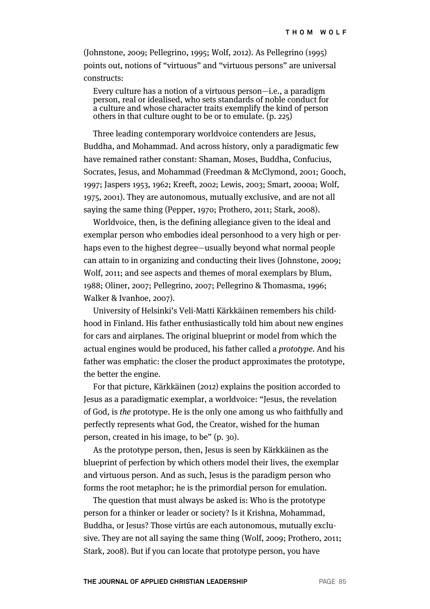(Johnstone, 2009; Pellegrino, 1995; Wolf, 2012). As Pellegrino (1995) points out, notions of "virtuous" and "virtuous persons" are universal constructs:

Every culture has a notion of a virtuous person—i.e., a paradigm person, real or idealised, who sets standards of noble conduct for a culture and whose character traits exemplify the kind of person others in that culture ought to be or to emulate. (p. 225)

Three leading contemporary worldvoice contenders are Jesus, Buddha, and Mohammad. And across history, only a paradigmatic few have remained rather constant: Shaman, Moses, Buddha, Confucius, Socrates, Jesus, and Mohammad (Freedman & McClymond, 2001; Gooch, 1997; Jaspers 1953, 1962; Kreeft, 2002; Lewis, 2003; Smart, 2000a; Wolf, 1975, 2001). They are autonomous, mutually exclusive, and are not all saying the same thing (Pepper, 1970; Prothero, 2011; Stark, 2008).

Worldvoice, then, is the defining allegiance given to the ideal and exemplar person who embodies ideal personhood to a very high or perhaps even to the highest degree—usually beyond what normal people can attain to in organizing and conducting their lives (Johnstone, 2009; Wolf, 2011; and see aspects and themes of moral exemplars by Blum, 1988; Oliner, 2007; Pellegrino, 2007; Pellegrino & Thomasma, 1996; Walker & Ivanhoe, 2007).

University of Helsinki's Veli-Matti Kärkkäinen remembers his childhood in Finland. His father enthusiastically told him about new engines for cars and airplanes. The original blueprint or model from which the actual engines would be produced, his father called a prototype. And his father was emphatic: the closer the product approximates the prototype, the better the engine.

For that picture, Kärkkäinen (2012) explains the position accorded to Jesus as a paradigmatic exemplar, a worldvoice: "Jesus, the revelation of God, is the prototype. He is the only one among us who faithfully and perfectly represents what God, the Creator, wished for the human person, created in his image, to be" (p. 30).

As the prototype person, then, Jesus is seen by Kärkkäinen as the blueprint of perfection by which others model their lives, the exemplar and virtuous person. And as such, Jesus is the paradigm person who forms the root metaphor; he is the primordial person for emulation.

The question that must always be asked is: Who is the prototype person for a thinker or leader or society? Is it Krishna, Mohammad, Buddha, or Jesus? Those virtús are each autonomous, mutually exclusive. They are not all saying the same thing (Wolf, 2009; Prothero, 2011; Stark, 2008). But if you can locate that prototype person, you have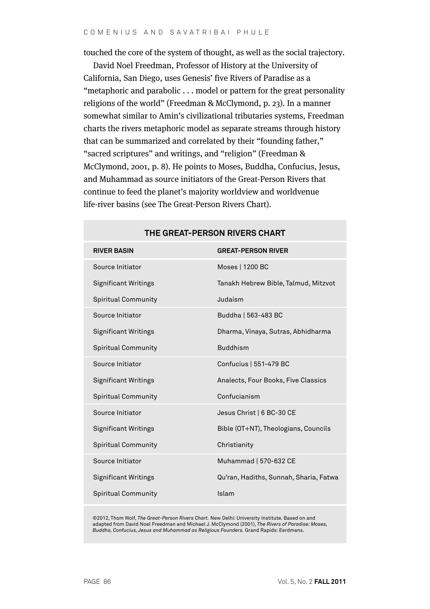touched the core of the system of thought, as well as the social trajectory.

David Noel Freedman, Professor of History at the University of California, San Diego, uses Genesis' five Rivers of Paradise as a "metaphoric and parabolic . . . model or pattern for the great personality religions of the world" (Freedman & McClymond, p. 23). In a manner somewhat similar to Amin's civilizational tributaries systems, Freedman charts the rivers metaphoric model as separate streams through history that can be summarized and correlated by their "founding father," "sacred scriptures" and writings, and "religion" (Freedman & McClymond, 2001, p. 8). He points to Moses, Buddha, Confucius, Jesus, and Muhammad as source initiators of the Great-Person Rivers that continue to feed the planet's majority worldview and worldvenue life-river basins (see The Great-Person Rivers Chart).

| <b>RIVER BASIN</b>          | <b>GREAT-PERSON RIVER</b>              |
|-----------------------------|----------------------------------------|
| Source Initiator            | Moses   1200 BC                        |
| <b>Significant Writings</b> | Tanakh Hebrew Bible, Talmud, Mitzvot   |
| <b>Spiritual Community</b>  | Judaism                                |
| Source Initiator            | Buddha   563-483 BC                    |
| <b>Significant Writings</b> | Dharma, Vinaya, Sutras, Abhidharma     |
| <b>Spiritual Community</b>  | <b>Buddhism</b>                        |
| Source Initiator            | Confucius   551-479 BC                 |
| <b>Significant Writings</b> | Analects, Four Books, Five Classics    |
| <b>Spiritual Community</b>  | Confucianism                           |
| Source Initiator            | Jesus Christ   6 BC-30 CE              |
| <b>Significant Writings</b> | Bible (OT+NT), Theologians, Councils   |
| <b>Spiritual Community</b>  | Christianity                           |
| Source Initiator            | Muhammad   570-632 CE                  |
| <b>Significant Writings</b> | Qu'ran, Hadiths, Sunnah, Sharia, Fatwa |
| <b>Spiritual Community</b>  | Islam                                  |

#### **THE GREAT-PERSON RIVERS CHART**

©2012, Thom Wolf, *The Great-Person Rivers Chart.* New Delhi: University Institute. Based on and adapted from David Noel Freedman and Michael J. McClymond (2001), *The Rivers of Paradise: Moses, Buddha, Confucius, Jesus and Muhammad as Religious Founders.* Grand Rapids: Eerdmans.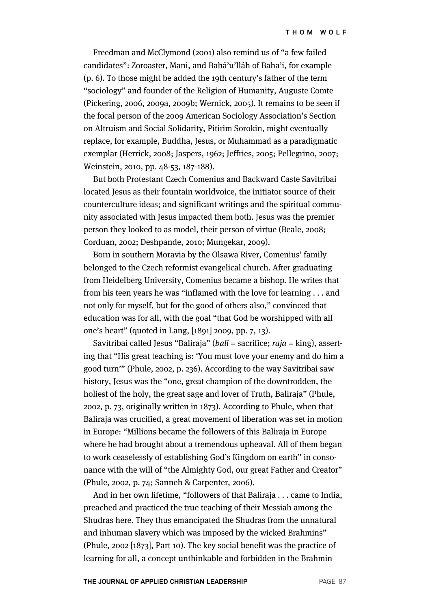Freedman and McClymond (2001) also remind us of "a few failed candidates": Zoroaster, Mani, and Bahá'u'lláh of Baha'i, for example (p. 6). To those might be added the 19th century's father of the term "sociology" and founder of the Religion of Humanity, Auguste Comte (Pickering, 2006, 2009a, 2009b; Wernick, 2005). It remains to be seen if the focal person of the 2009 American Sociology Association's Section on Altruism and Social Solidarity, Pitirim Sorokin, might eventually replace, for example, Buddha, Jesus, or Muhammad as a paradigmatic exemplar (Herrick, 2008; Jaspers, 1962; Jeffries, 2005; Pellegrino, 2007; Weinstein, 2010, pp. 48-53, 187-188).

But both Protestant Czech Comenius and Backward Caste Savitribai located Jesus as their fountain worldvoice, the initiator source of their counterculture ideas; and significant writings and the spiritual community associated with Jesus impacted them both. Jesus was the premier person they looked to as model, their person of virtue (Beale, 2008; Corduan, 2002; Deshpande, 2010; Mungekar, 2009).

Born in southern Moravia by the Olsawa River, Comenius' family belonged to the Czech reformist evangelical church. After graduating from Heidelberg University, Comenius became a bishop. He writes that from his teen years he was "inflamed with the love for learning . . . and not only for myself, but for the good of others also," convinced that education was for all, with the goal "that God be worshipped with all one's heart" (quoted in Lang, [1891] 2009, pp. 7, 13).

Savitribai called Jesus "Baliraja" (bali = sacrifice; raja = king), asserting that "His great teaching is: 'You must love your enemy and do him a good turn'" (Phule, 2002, p. 236). According to the way Savitribai saw history, Jesus was the "one, great champion of the downtrodden, the holiest of the holy, the great sage and lover of Truth, Baliraja" (Phule, 2002, p. 73, originally written in 1873). According to Phule, when that Baliraja was crucified, a great movement of liberation was set in motion in Europe: "Millions became the followers of this Baliraja in Europe where he had brought about a tremendous upheaval. All of them began to work ceaselessly of establishing God's Kingdom on earth" in consonance with the will of "the Almighty God, our great Father and Creator" (Phule, 2002, p. 74; Sanneh & Carpenter, 2006).

And in her own lifetime, "followers of that Baliraja . . . came to India, preached and practiced the true teaching of their Messiah among the Shudras here. They thus emancipated the Shudras from the unnatural and inhuman slavery which was imposed by the wicked Brahmins" (Phule, 2002 [1873], Part 10). The key social benefit was the practice of learning for all, a concept unthinkable and forbidden in the Brahmin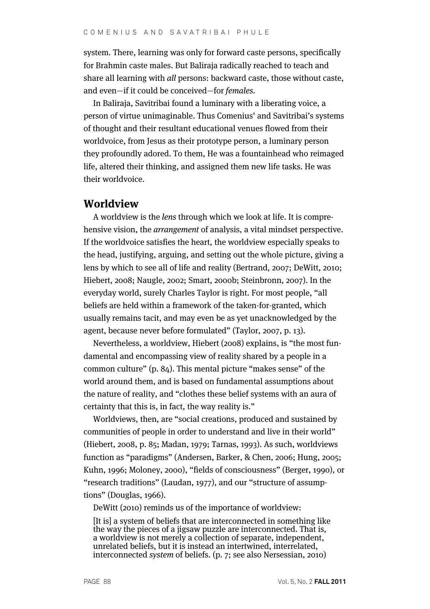system. There, learning was only for forward caste persons, specifically for Brahmin caste males. But Baliraja radically reached to teach and share all learning with all persons: backward caste, those without caste, and even—if it could be conceived—for females.

In Baliraja, Savitribai found a luminary with a liberating voice, a person of virtue unimaginable. Thus Comenius' and Savitribai's systems of thought and their resultant educational venues flowed from their worldvoice, from Jesus as their prototype person, a luminary person they profoundly adored. To them, He was a fountainhead who reimaged life, altered their thinking, and assigned them new life tasks. He was their worldvoice.

#### **Worldview**

A worldview is the lens through which we look at life. It is comprehensive vision, the arrangement of analysis, a vital mindset perspective. If the worldvoice satisfies the heart, the worldview especially speaks to the head, justifying, arguing, and setting out the whole picture, giving a lens by which to see all of life and reality (Bertrand, 2007; DeWitt, 2010; Hiebert, 2008; Naugle, 2002; Smart, 2000b; Steinbronn, 2007). In the everyday world, surely Charles Taylor is right. For most people, "all beliefs are held within a framework of the taken-for-granted, which usually remains tacit, and may even be as yet unacknowledged by the agent, because never before formulated" (Taylor, 2007, p. 13).

Nevertheless, a worldview, Hiebert (2008) explains, is "the most fundamental and encompassing view of reality shared by a people in a common culture" (p. 84). This mental picture "makes sense" of the world around them, and is based on fundamental assumptions about the nature of reality, and "clothes these belief systems with an aura of certainty that this is, in fact, the way reality is."

Worldviews, then, are "social creations, produced and sustained by communities of people in order to understand and live in their world" (Hiebert, 2008, p. 85; Madan, 1979; Tarnas, 1993). As such, worldviews function as "paradigms" (Andersen, Barker, & Chen, 2006; Hung, 2005; Kuhn, 1996; Moloney, 2000), "fields of consciousness" (Berger, 1990), or "research traditions" (Laudan, 1977), and our "structure of assumptions" (Douglas, 1966).

DeWitt (2010) reminds us of the importance of worldview:

[It is] a system of beliefs that are interconnected in something like the way the pieces of a jigsaw puzzle are interconnected. That is, a worldview is not merely a collection of separate, independent, unrelated beliefs, but it is instead an intertwined, interrelated, interconnected system of beliefs. (p. 7; see also Nersessian, 2010)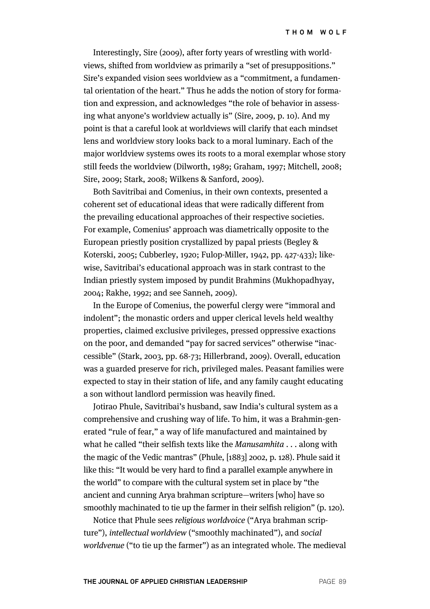Interestingly, Sire (2009), after forty years of wrestling with worldviews, shifted from worldview as primarily a "set of presuppositions." Sire's expanded vision sees worldview as a "commitment, a fundamental orientation of the heart." Thus he adds the notion of story for formation and expression, and acknowledges "the role of behavior in assessing what anyone's worldview actually is" (Sire, 2009, p. 10). And my point is that a careful look at worldviews will clarify that each mindset lens and worldview story looks back to a moral luminary. Each of the major worldview systems owes its roots to a moral exemplar whose story still feeds the worldview (Dilworth, 1989; Graham, 1997; Mitchell, 2008; Sire, 2009; Stark, 2008; Wilkens & Sanford, 2009).

Both Savitribai and Comenius, in their own contexts, presented a coherent set of educational ideas that were radically different from the prevailing educational approaches of their respective societies. For example, Comenius' approach was diametrically opposite to the European priestly position crystallized by papal priests (Begley & Koterski, 2005; Cubberley, 1920; Fulop-Miller, 1942, pp. 427-433); likewise, Savitribai's educational approach was in stark contrast to the Indian priestly system imposed by pundit Brahmins (Mukhopadhyay, 2004; Rakhe, 1992; and see Sanneh, 2009).

In the Europe of Comenius, the powerful clergy were "immoral and indolent"; the monastic orders and upper clerical levels held wealthy properties, claimed exclusive privileges, pressed oppressive exactions on the poor, and demanded "pay for sacred services" otherwise "inaccessible" (Stark, 2003, pp. 68-73; Hillerbrand, 2009). Overall, education was a guarded preserve for rich, privileged males. Peasant families were expected to stay in their station of life, and any family caught educating a son without landlord permission was heavily fined.

Jotirao Phule, Savitribai's husband, saw India's cultural system as a comprehensive and crushing way of life. To him, it was a Brahmin-generated "rule of fear," a way of life manufactured and maintained by what he called "their selfish texts like the *Manusamhita* . . . along with the magic of the Vedic mantras" (Phule, [1883] 2002, p. 128). Phule said it like this: "It would be very hard to find a parallel example anywhere in the world" to compare with the cultural system set in place by "the ancient and cunning Arya brahman scripture—writers [who] have so smoothly machinated to tie up the farmer in their selfish religion" (p. 120).

Notice that Phule sees religious worldvoice ("Arya brahman scripture"), intellectual worldview ("smoothly machinated"), and social worldvenue ("to tie up the farmer") as an integrated whole. The medieval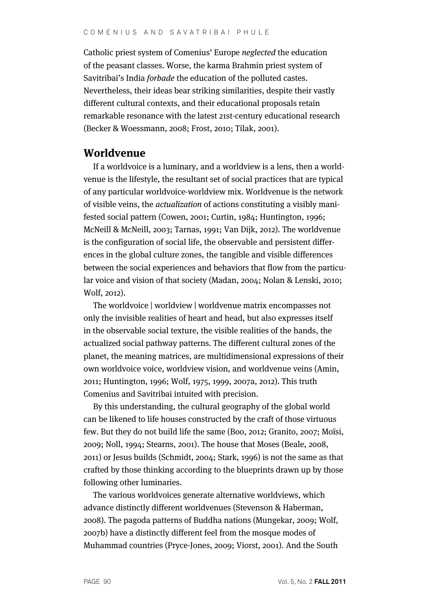Catholic priest system of Comenius' Europe neglected the education of the peasant classes. Worse, the karma Brahmin priest system of Savitribai's India forbade the education of the polluted castes. Nevertheless, their ideas bear striking similarities, despite their vastly different cultural contexts, and their educational proposals retain remarkable resonance with the latest 21st-century educational research (Becker & Woessmann, 2008; Frost, 2010; Tilak, 2001).

#### **Worldvenue**

If a worldvoice is a luminary, and a worldview is a lens, then a worldvenue is the lifestyle, the resultant set of social practices that are typical of any particular worldvoice-worldview mix. Worldvenue is the network of visible veins, the actualization of actions constituting a visibly manifested social pattern (Cowen, 2001; Curtin, 1984; Huntington, 1996; McNeill & McNeill, 2003; Tarnas, 1991; Van Dijk, 2012). The worldvenue is the configuration of social life, the observable and persistent differences in the global culture zones, the tangible and visible differences between the social experiences and behaviors that flow from the particular voice and vision of that society (Madan, 2004; Nolan & Lenski, 2010; Wolf, 2012).

The worldvoice | worldview | worldvenue matrix encompasses not only the invisible realities of heart and head, but also expresses itself in the observable social texture, the visible realities of the hands, the actualized social pathway patterns. The different cultural zones of the planet, the meaning matrices, are multidimensional expressions of their own worldvoice voice, worldview vision, and worldvenue veins (Amin, 2011; Huntington, 1996; Wolf, 1975, 1999, 2007a, 2012). This truth Comenius and Savitribai intuited with precision.

By this understanding, the cultural geography of the global world can be likened to life houses constructed by the craft of those virtuous few. But they do not build life the same (Boo, 2012; Granito, 2007; Moïsi, 2009; Noll, 1994; Stearns, 2001). The house that Moses (Beale, 2008, 2011) or Jesus builds (Schmidt, 2004; Stark, 1996) is not the same as that crafted by those thinking according to the blueprints drawn up by those following other luminaries.

The various worldvoices generate alternative worldviews, which advance distinctly different worldvenues (Stevenson & Haberman, 2008). The pagoda patterns of Buddha nations (Mungekar, 2009; Wolf, 2007b) have a distinctly different feel from the mosque modes of Muhammad countries (Pryce-Jones, 2009; Viorst, 2001). And the South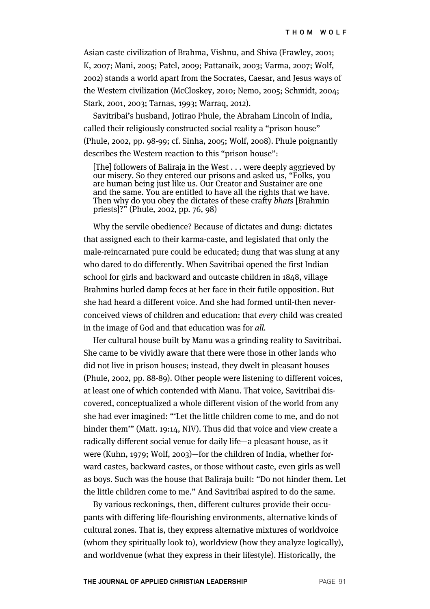Asian caste civilization of Brahma, Vishnu, and Shiva (Frawley, 2001; K, 2007; Mani, 2005; Patel, 2009; Pattanaik, 2003; Varma, 2007; Wolf, 2002) stands a world apart from the Socrates, Caesar, and Jesus ways of the Western civilization (McCloskey, 2010; Nemo, 2005; Schmidt, 2004; Stark, 2001, 2003; Tarnas, 1993; Warraq, 2012).

Savitribai's husband, Jotirao Phule, the Abraham Lincoln of India, called their religiously constructed social reality a "prison house" (Phule, 2002, pp. 98-99; cf. Sinha, 2005; Wolf, 2008). Phule poignantly describes the Western reaction to this "prison house":

[The] followers of Baliraja in the West . . . were deeply aggrieved by our misery. So they entered our prisons and asked us, "Folks, you are human being just like us. Our Creator and Sustainer are one and the same. You are entitled to have all the rights that we have. Then why do you obey the dictates of these crafty bhats [Brahmin] priests]?" (Phule, 2002, pp. 76, 98)

Why the servile obedience? Because of dictates and dung: dictates that assigned each to their karma-caste, and legislated that only the male-reincarnated pure could be educated; dung that was slung at any who dared to do differently. When Savitribai opened the first Indian school for girls and backward and outcaste children in 1848, village Brahmins hurled damp feces at her face in their futile opposition. But she had heard a different voice. And she had formed until-then neverconceived views of children and education: that every child was created in the image of God and that education was for all.

Her cultural house built by Manu was a grinding reality to Savitribai. She came to be vividly aware that there were those in other lands who did not live in prison houses; instead, they dwelt in pleasant houses (Phule, 2002, pp. 88-89). Other people were listening to different voices, at least one of which contended with Manu. That voice, Savitribai discovered, conceptualized a whole different vision of the world from any she had ever imagined: "'Let the little children come to me, and do not hinder them'" (Matt. 19:14, NIV). Thus did that voice and view create a radically different social venue for daily life—a pleasant house, as it were (Kuhn, 1979; Wolf, 2003)—for the children of India, whether forward castes, backward castes, or those without caste, even girls as well as boys. Such was the house that Baliraja built: "Do not hinder them. Let the little children come to me." And Savitribai aspired to do the same.

By various reckonings, then, different cultures provide their occupants with differing life-flourishing environments, alternative kinds of cultural zones. That is, they express alternative mixtures of worldvoice (whom they spiritually look to), worldview (how they analyze logically), and worldvenue (what they express in their lifestyle). Historically, the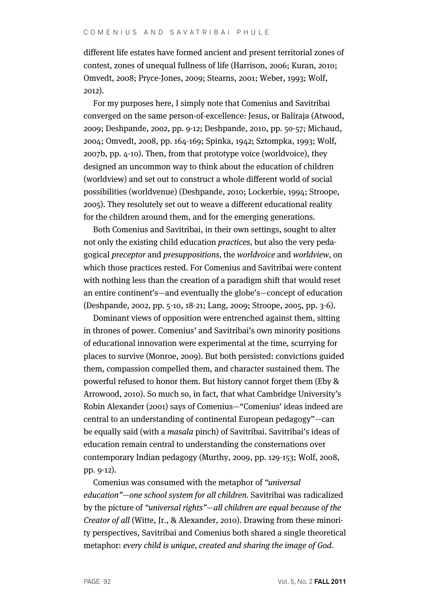different life estates have formed ancient and present territorial zones of contest, zones of unequal fullness of life (Harrison, 2006; Kuran, 2010; Omvedt, 2008; Pryce-Jones, 2009; Stearns, 2001; Weber, 1993; Wolf, 2012).

For my purposes here, I simply note that Comenius and Savitribai converged on the same person-of-excellence: Jesus, or Baliraja (Atwood, 2009; Deshpande, 2002, pp. 9-12; Deshpande, 2010, pp. 50-57; Michaud, 2004; Omvedt, 2008, pp. 164-169; Spinka, 1942; Sztompka, 1993; Wolf, 2007b, pp. 4-10). Then, from that prototype voice (worldvoice), they designed an uncommon way to think about the education of children (worldview) and set out to construct a whole different world of social possibilities (worldvenue) (Deshpande, 2010; Lockerbie, 1994; Stroope, 2005). They resolutely set out to weave a different educational reality for the children around them, and for the emerging generations.

Both Comenius and Savitribai, in their own settings, sought to alter not only the existing child education practices, but also the very pedagogical preceptor and presuppositions, the worldvoice and worldview, on which those practices rested. For Comenius and Savitribai were content with nothing less than the creation of a paradigm shift that would reset an entire continent's—and eventually the globe's—concept of education (Deshpande, 2002, pp. 5-10, 18-21; Lang, 2009; Stroope, 2005, pp. 3-6).

Dominant views of opposition were entrenched against them, sitting in thrones of power. Comenius' and Savitribai's own minority positions of educational innovation were experimental at the time, scurrying for places to survive (Monroe, 2009). But both persisted: convictions guided them, compassion compelled them, and character sustained them. The powerful refused to honor them. But history cannot forget them (Eby & Arrowood, 2010). So much so, in fact, that what Cambridge University's Robin Alexander (2001) says of Comenius—"Comenius' ideas indeed are central to an understanding of continental European pedagogy"—can be equally said (with a masala pinch) of Savitribai. Savitribai's ideas of education remain central to understanding the consternations over contemporary Indian pedagogy (Murthy, 2009, pp. 129-153; Wolf, 2008, pp. 9-12).

Comenius was consumed with the metaphor of "universal education"—one school system for all children. Savitribai was radicalized by the picture of "universal rights"—all children are equal because of the Creator of all (Witte, Jr., & Alexander, 2010). Drawing from these minority perspectives, Savitribai and Comenius both shared a single theoretical metaphor: every child is unique, created and sharing the image of God.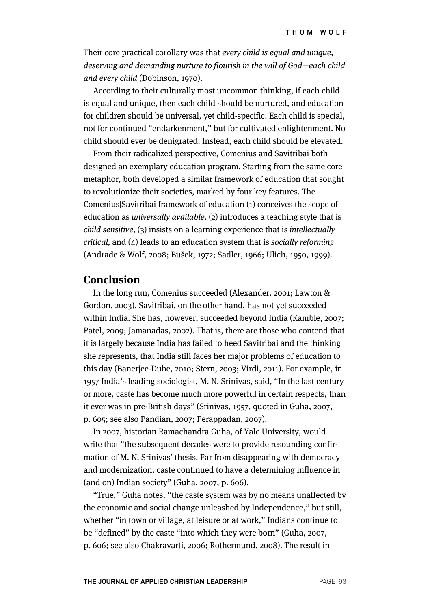Their core practical corollary was that every child is equal and unique, deserving and demanding nurture to flourish in the will of God—each child and every child (Dobinson, 1970).

According to their culturally most uncommon thinking, if each child is equal and unique, then each child should be nurtured, and education for children should be universal, yet child-specific. Each child is special, not for continued "endarkenment," but for cultivated enlightenment. No child should ever be denigrated. Instead, each child should be elevated.

From their radicalized perspective, Comenius and Savitribai both designed an exemplary education program. Starting from the same core metaphor, both developed a similar framework of education that sought to revolutionize their societies, marked by four key features. The Comenius|Savitribai framework of education (1) conceives the scope of education as universally available, (2) introduces a teaching style that is child sensitive, (3) insists on a learning experience that is intellectually critical, and (4) leads to an education system that is socially reforming (Andrade & Wolf, 2008; Bušek, 1972; Sadler, 1966; Ulich, 1950, 1999).

## **Conclusion**

In the long run, Comenius succeeded (Alexander, 2001; Lawton & Gordon, 2003). Savitribai, on the other hand, has not yet succeeded within India. She has, however, succeeded beyond India (Kamble, 2007; Patel, 2009; Jamanadas, 2002). That is, there are those who contend that it is largely because India has failed to heed Savitribai and the thinking she represents, that India still faces her major problems of education to this day (Banerjee-Dube, 2010; Stern, 2003; Virdi, 2011). For example, in 1957 India's leading sociologist, M. N. Srinivas, said, "In the last century or more, caste has become much more powerful in certain respects, than it ever was in pre-British days" (Srinivas, 1957, quoted in Guha, 2007, p. 605; see also Pandian, 2007; Perappadan, 2007).

In 2007, historian Ramachandra Guha, of Yale University, would write that "the subsequent decades were to provide resounding confirmation of M. N. Srinivas' thesis. Far from disappearing with democracy and modernization, caste continued to have a determining influence in (and on) Indian society" (Guha, 2007, p. 606).

"True," Guha notes, "the caste system was by no means unaffected by the economic and social change unleashed by Independence," but still, whether "in town or village, at leisure or at work," Indians continue to be "defined" by the caste "into which they were born" (Guha, 2007, p. 606; see also Chakravarti, 2006; Rothermund, 2008). The result in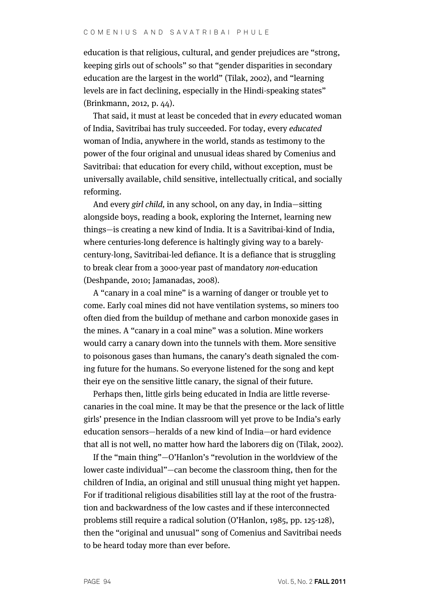education is that religious, cultural, and gender prejudices are "strong, keeping girls out of schools" so that "gender disparities in secondary education are the largest in the world" (Tilak, 2002), and "learning levels are in fact declining, especially in the Hindi-speaking states" (Brinkmann, 2012, p. 44).

That said, it must at least be conceded that in every educated woman of India, Savitribai has truly succeeded. For today, every educated woman of India, anywhere in the world, stands as testimony to the power of the four original and unusual ideas shared by Comenius and Savitribai: that education for every child, without exception, must be universally available, child sensitive, intellectually critical, and socially reforming.

And every girl child, in any school, on any day, in India—sitting alongside boys, reading a book, exploring the Internet, learning new things—is creating a new kind of India. It is a Savitribai-kind of India, where centuries-long deference is haltingly giving way to a barelycentury-long, Savitribai-led defiance. It is a defiance that is struggling to break clear from a 3000-year past of mandatory non-education (Deshpande, 2010; Jamanadas, 2008).

A "canary in a coal mine" is a warning of danger or trouble yet to come. Early coal mines did not have ventilation systems, so miners too often died from the buildup of methane and carbon monoxide gases in the mines. A "canary in a coal mine" was a solution. Mine workers would carry a canary down into the tunnels with them. More sensitive to poisonous gases than humans, the canary's death signaled the coming future for the humans. So everyone listened for the song and kept their eye on the sensitive little canary, the signal of their future.

Perhaps then, little girls being educated in India are little reversecanaries in the coal mine. It may be that the presence or the lack of little girls' presence in the Indian classroom will yet prove to be India's early education sensors—heralds of a new kind of India—or hard evidence that all is not well, no matter how hard the laborers dig on (Tilak, 2002).

If the "main thing"—O'Hanlon's "revolution in the worldview of the lower caste individual"—can become the classroom thing, then for the children of India, an original and still unusual thing might yet happen. For if traditional religious disabilities still lay at the root of the frustration and backwardness of the low castes and if these interconnected problems still require a radical solution (O'Hanlon, 1985, pp. 125-128), then the "original and unusual" song of Comenius and Savitribai needs to be heard today more than ever before.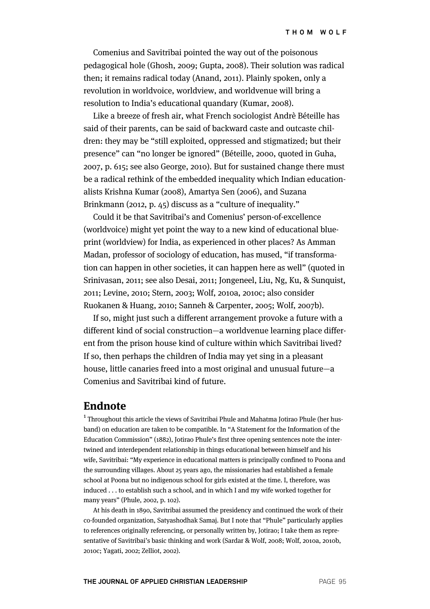Comenius and Savitribai pointed the way out of the poisonous pedagogical hole (Ghosh, 2009; Gupta, 2008). Their solution was radical then; it remains radical today (Anand, 2011). Plainly spoken, only a revolution in worldvoice, worldview, and worldvenue will bring a resolution to India's educational quandary (Kumar, 2008).

Like a breeze of fresh air, what French sociologist Andrè Béteille has said of their parents, can be said of backward caste and outcaste children: they may be "still exploited, oppressed and stigmatized; but their presence" can "no longer be ignored" (Béteille, 2000, quoted in Guha, 2007, p. 615; see also George, 2010). But for sustained change there must be a radical rethink of the embedded inequality which Indian educationalists Krishna Kumar (2008), Amartya Sen (2006), and Suzana Brinkmann (2012, p. 45) discuss as a "culture of inequality."

Could it be that Savitribai's and Comenius' person-of-excellence (worldvoice) might yet point the way to a new kind of educational blueprint (worldview) for India, as experienced in other places? As Amman Madan, professor of sociology of education, has mused, "if transformation can happen in other societies, it can happen here as well" (quoted in Srinivasan, 2011; see also Desai, 2011; Jongeneel, Liu, Ng, Ku, & Sunquist, 2011; Levine, 2010; Stern, 2003; Wolf, 2010a, 2010c; also consider Ruokanen & Huang, 2010; Sanneh & Carpenter, 2005; Wolf, 2007b).

If so, might just such a different arrangement provoke a future with a different kind of social construction—a worldvenue learning place different from the prison house kind of culture within which Savitribai lived? If so, then perhaps the children of India may yet sing in a pleasant house, little canaries freed into a most original and unusual future—a Comenius and Savitribai kind of future.

#### **Endnote**

<sup>1</sup> Throughout this article the views of Savitribai Phule and Mahatma Jotirao Phule (her husband) on education are taken to be compatible. In "A Statement for the Information of the Education Commission" (1882), Jotirao Phule's first three opening sentences note the intertwined and interdependent relationship in things educational between himself and his wife, Savitribai: "My experience in educational matters is principally confined to Poona and the surrounding villages. About 25 years ago, the missionaries had established a female school at Poona but no indigenous school for girls existed at the time. I, therefore, was induced . . . to establish such a school, and in which I and my wife worked together for many years" (Phule, 2002, p. 102).

At his death in 1890, Savitribai assumed the presidency and continued the work of their co-founded organization, Satyashodhak Samaj. But I note that "Phule" particularly applies to references originally referencing, or personally written by, Jotirao; I take them as representative of Savitribai's basic thinking and work (Sardar & Wolf, 2008; Wolf, 2010a, 2010b, 2010c; Yagati, 2002; Zelliot, 2002).

**THE JOURNAL OF APPLIED CHRISTIAN LEADERSHIP PAGE 95**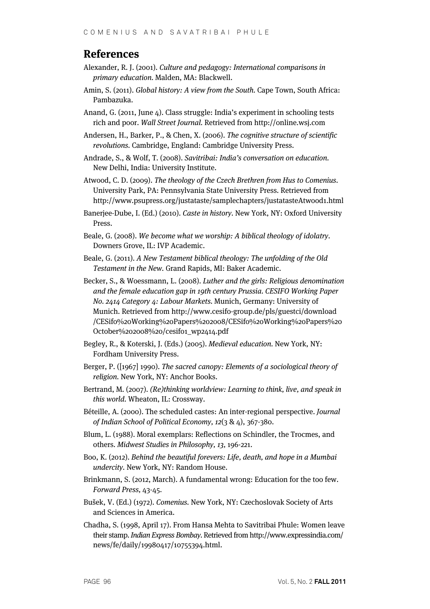## **References**

- Alexander, R. J. (2001). Culture and pedagogy: International comparisons in primary education. Malden, MA: Blackwell.
- Amin, S. (2011). Global history: A view from the South. Cape Town, South Africa: Pambazuka.
- Anand, G. (2011, June 4). Class struggle: India's experiment in schooling tests rich and poor. Wall Street Journal. Retrieved from http://online.wsj.com
- Andersen, H., Barker, P., & Chen, X. (2006). The cognitive structure of scientific revolutions. Cambridge, England: Cambridge University Press.
- Andrade, S., & Wolf, T. (2008). Savitribai: India's conversation on education. New Delhi, India: University Institute.
- Atwood, C. D. (2009). The theology of the Czech Brethren from Hus to Comenius. University Park, PA: Pennsylvania State University Press. Retrieved from http://www.psupress.org/justataste/samplechapters/justatasteAtwood1.html
- Banerjee-Dube, I. (Ed.) (2010). Caste in history. New York, NY: Oxford University Press.
- Beale, G. (2008). We become what we worship: A biblical theology of idolatry. Downers Grove, IL: IVP Academic.
- Beale, G. (2011). A New Testament biblical theology: The unfolding of the Old Testament in the New. Grand Rapids, MI: Baker Academic.
- Becker, S., & Woessmann, L. (2008). Luther and the girls: Religious denomination and the female education gap in 19th century Prussia. CESIFO Working Paper No. 2414 Category 4: Labour Markets. Munich, Germany: University of Munich. Retrieved from http://www.cesifo-group.de/pls/guestci/download /CESifo%20Working%20Papers%202008/CESifo%20Working%20Papers%20 October%202008%20/cesifo1\_wp2414.pdf
- Begley, R., & Koterski, J. (Eds.) (2005). Medieval education. New York, NY: Fordham University Press.
- Berger, P. ([1967] 1990). The sacred canopy: Elements of a sociological theory of religion. New York, NY: Anchor Books.
- Bertrand, M. (2007). (Re)thinking worldview: Learning to think, live, and speak in this world. Wheaton, IL: Crossway.
- Béteille, A. (2000). The scheduled castes: An inter-regional perspective. Journal of Indian School of Political Economy, 12(3 & 4), 367-380.
- Blum, L. (1988). Moral exemplars: Reflections on Schindler, the Trocmes, and others. Midwest Studies in Philosophy, 13, 196-221.
- Boo, K. (2012). Behind the beautiful forevers: Life, death, and hope in a Mumbai undercity. New York, NY: Random House.
- Brinkmann, S. (2012, March). A fundamental wrong: Education for the too few. Forward Press, 43-45.
- Bušek, V. (Ed.) (1972). Comenius. New York, NY: Czechoslovak Society of Arts and Sciences in America.
- Chadha, S. (1998, April 17). From Hansa Mehta to Savitribai Phule: Women leave their stamp. Indian Express Bombay. Retrieved from http://www.expressindia.com/ news/fe/daily/19980417/10755394.html.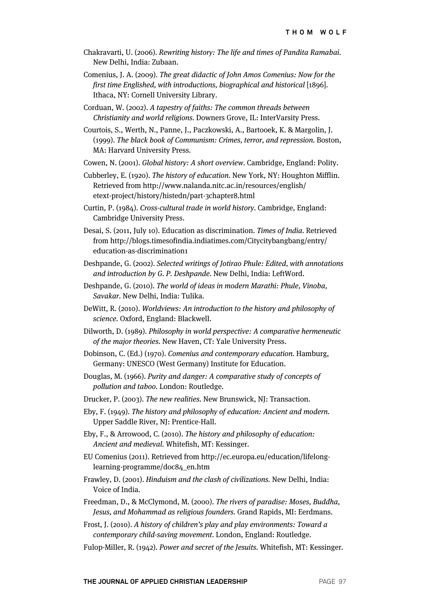- Chakravarti, U. (2006). Rewriting history: The life and times of Pandita Ramabai. New Delhi, India: Zubaan.
- Comenius, J. A. (2009). The great didactic of John Amos Comenius: Now for the first time Englished, with introductions, biographical and historical [1896]. Ithaca, NY: Cornell University Library.
- Corduan, W. (2002). A tapestry of faiths: The common threads between Christianity and world religions. Downers Grove, IL: InterVarsity Press.
- Courtois, S., Werth, N., Panne, J., Paczkowski, A., Bartooek, K. & Margolin, J. (1999). The black book of Communism: Crimes, terror, and repression. Boston, MA: Harvard University Press.
- Cowen, N. (2001). Global history: A short overview. Cambridge, England: Polity.
- Cubberley, E. (1920). The history of education. New York, NY: Houghton Mifflin. Retrieved from http://www.nalanda.nitc.ac.in/resources/english/ etext-project/history/histedn/part-3chapter8.html
- Curtin, P. (1984). Cross-cultural trade in world history. Cambridge, England: Cambridge University Press.
- Desai, S. (2011, July 10). Education as discrimination. Times of India. Retrieved from http://blogs.timesofindia.indiatimes.com/Citycitybangbang/entry/ education-as-discrimination1
- Deshpande, G. (2002). Selected writings of Jotirao Phule: Edited, with annotations and introduction by G. P. Deshpande. New Delhi, India: LeftWord.
- Deshpande, G. (2010). The world of ideas in modern Marathi: Phule, Vinoba, Savakar. New Delhi, India: Tulika.
- DeWitt, R. (2010). Worldviews: An introduction to the history and philosophy of science. Oxford, England: Blackwell.
- Dilworth, D. (1989). Philosophy in world perspective: A comparative hermeneutic of the major theories. New Haven, CT: Yale University Press.
- Dobinson, C. (Ed.) (1970). Comenius and contemporary education. Hamburg, Germany: UNESCO (West Germany) Institute for Education.
- Douglas, M. (1966). Purity and danger: A comparative study of concepts of pollution and taboo. London: Routledge.
- Drucker, P. (2003). The new realities. New Brunswick, NJ: Transaction.
- Eby, F. (1949). The history and philosophy of education: Ancient and modern. Upper Saddle River, NJ: Prentice-Hall.
- Eby, F., & Arrowood, C. (2010). The history and philosophy of education: Ancient and medieval. Whitefish, MT: Kessinger.
- EU Comenius (2011). Retrieved from http://ec.europa.eu/education/lifelonglearning-programme/doc84\_en.htm
- Frawley, D. (2001). Hinduism and the clash of civilizations. New Delhi, India: Voice of India.
- Freedman, D., & McClymond, M. (2000). The rivers of paradise: Moses, Buddha, Jesus, and Mohammad as religious founders. Grand Rapids, MI: Eerdmans.
- Frost, J. (2010). A history of children's play and play environments: Toward a contemporary child-saving movement. London, England: Routledge.
- Fulop-Miller, R. (1942). Power and secret of the Jesuits. Whitefish, MT: Kessinger.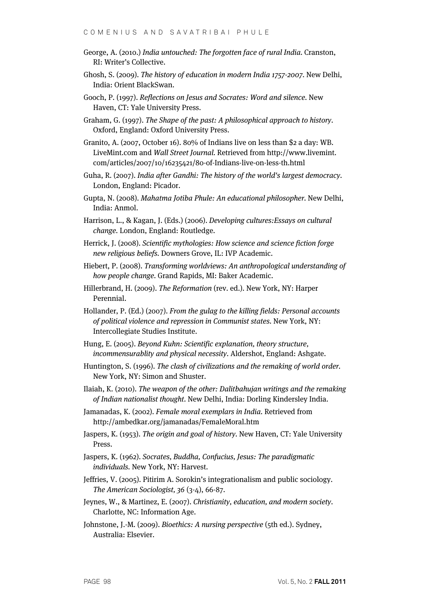- George, A. (2010.) India untouched: The forgotten face of rural India. Cranston, RI: Writer's Collective.
- Ghosh, S. (2009). The history of education in modern India 1757-2007. New Delhi, India: Orient BlackSwan.
- Gooch, P. (1997). Reflections on Jesus and Socrates: Word and silence. New Haven, CT: Yale University Press.
- Graham, G. (1997). The Shape of the past: A philosophical approach to history. Oxford, England: Oxford University Press.
- Granito, A. (2007, October 16). 80% of Indians live on less than \$2 a day: WB. LiveMint.com and Wall Street Journal. Retrieved from http://www.livemint. com/articles/2007/10/16235421/80-of-Indians-live-on-less-th.html
- Guha, R. (2007). India after Gandhi: The history of the world's largest democracy. London, England: Picador.
- Gupta, N. (2008). Mahatma Jotiba Phule: An educational philosopher. New Delhi, India: Anmol.
- Harrison, L., & Kagan, J. (Eds.) (2006). Developing cultures:Essays on cultural change. London, England: Routledge.
- Herrick, J. (2008). Scientific mythologies: How science and science fiction forge new religious beliefs. Downers Grove, IL: IVP Academic.
- Hiebert, P. (2008). Transforming worldviews: An anthropological understanding of how people change. Grand Rapids, MI: Baker Academic.
- Hillerbrand, H. (2009). The Reformation (rev. ed.). New York, NY: Harper Perennial.
- Hollander, P. (Ed.) (2007). From the gulag to the killing fields: Personal accounts of political violence and repression in Communist states. New York, NY: Intercollegiate Studies Institute.
- Hung, E. (2005). Beyond Kuhn: Scientific explanation, theory structure, incommensurablity and physical necessity. Aldershot, England: Ashgate.
- Huntington, S. (1996). The clash of civilizations and the remaking of world order. New York, NY: Simon and Shuster.
- Ilaiah, K. (2010). The weapon of the other: Dalitbahujan writings and the remaking of Indian nationalist thought. New Delhi, India: Dorling Kindersley India.
- Jamanadas, K. (2002). Female moral exemplars in India. Retrieved from http://ambedkar.org/jamanadas/FemaleMoral.htm
- Jaspers, K. (1953). The origin and goal of history. New Haven, CT: Yale University Press.
- Jaspers, K. (1962). Socrates, Buddha, Confucius, Jesus: The paradigmatic individuals. New York, NY: Harvest.
- Jeffries, V. (2005). Pitirim A. Sorokin's integrationalism and public sociology. The American Sociologist, 36 (3-4), 66-87.
- Jeynes, W., & Martinez, E. (2007). Christianity, education, and modern society. Charlotte, NC: Information Age.
- Johnstone, J.-M. (2009). Bioethics: A nursing perspective (5th ed.). Sydney, Australia: Elsevier.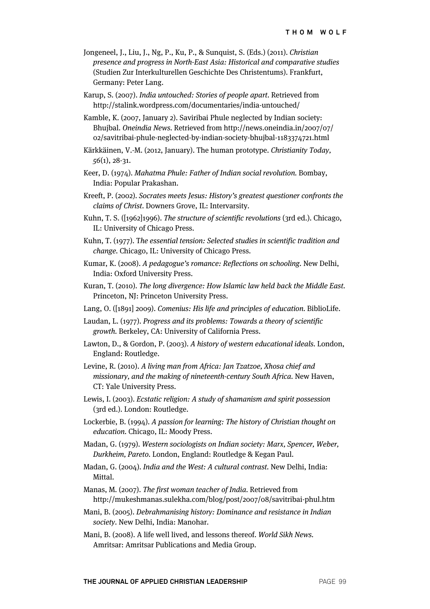- Jongeneel, J., Liu, J., Ng, P., Ku, P., & Sunquist, S. (Eds.) (2011). Christian presence and progress in North-East Asia: Historical and comparative studies (Studien Zur Interkulturellen Geschichte Des Christentums). Frankfurt, Germany: Peter Lang.
- Karup, S. (2007). India untouched: Stories of people apart. Retrieved from http://stalink.wordpress.com/documentaries/india-untouched/
- Kamble, K. (2007, January 2). Saviribai Phule neglected by Indian society: Bhujbal. Oneindia News. Retrieved from http://news.oneindia.in/2007/07/ 02/savitribai-phule-neglected-by-indian-society-bhujbal-1183374721.html
- Kärkkäinen, V.-M. (2012, January). The human prototype. Christianity Today, 56(1), 28-31.
- Keer, D. (1974). Mahatma Phule: Father of Indian social revolution. Bombay, India: Popular Prakashan.
- Kreeft, P. (2002). Socrates meets Jesus: History's greatest questioner confronts the claims of Christ. Downers Grove, IL: Intervarsity.
- Kuhn, T. S. ([1962]1996). The structure of scientific revolutions (3rd ed.). Chicago, IL: University of Chicago Press.
- Kuhn, T. (1977). The essential tension: Selected studies in scientific tradition and change. Chicago, IL: University of Chicago Press.
- Kumar, K. (2008). A pedagogue's romance: Reflections on schooling. New Delhi, India: Oxford University Press.
- Kuran, T. (2010). The long divergence: How Islamic law held back the Middle East. Princeton, NJ: Princeton University Press.
- Lang, O. ([1891] 2009). Comenius: His life and principles of education. BiblioLife.
- Laudan, L. (1977). Progress and its problems: Towards a theory of scientific growth. Berkeley, CA: University of California Press.
- Lawton, D., & Gordon, P. (2003). A history of western educational ideals. London, England: Routledge.
- Levine, R. (2010). A living man from Africa: Jan Tzatzoe, Xhosa chief and missionary, and the making of nineteenth-century South Africa. New Haven, CT: Yale University Press.
- Lewis, I. (2003). Ecstatic religion: A study of shamanism and spirit possession (3rd ed.). London: Routledge.
- Lockerbie, B. (1994). A passion for learning: The history of Christian thought on education. Chicago, IL: Moody Press.
- Madan, G. (1979). Western sociologists on Indian society: Marx, Spencer, Weber, Durkheim, Pareto. London, England: Routledge & Kegan Paul.
- Madan, G. (2004). India and the West: A cultural contrast. New Delhi, India: Mittal.
- Manas, M. (2007). The first woman teacher of India. Retrieved from http://mukeshmanas.sulekha.com/blog/post/2007/08/savitribai-phul.htm
- Mani, B. (2005). Debrahmanising history: Dominance and resistance in Indian society. New Delhi, India: Manohar.
- Mani, B. (2008). A life well lived, and lessons thereof. World Sikh News. Amritsar: Amritsar Publications and Media Group.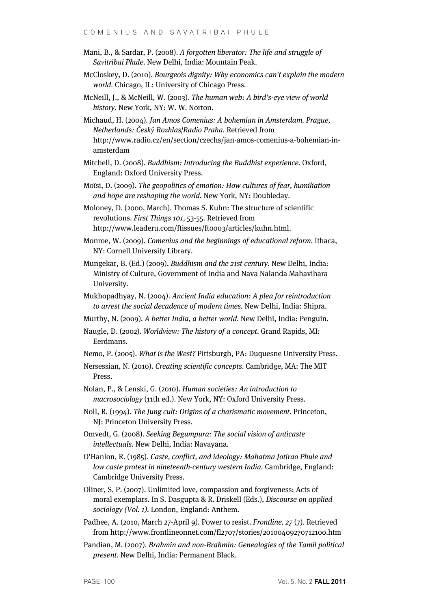- Mani, B., & Sardar, P. (2008). A forgotten liberator: The life and struggle of Savitribai Phule. New Delhi, India: Mountain Peak.
- McCloskey, D. (2010). Bourgeois dignity: Why economics can't explain the modern world. Chicago, IL: University of Chicago Press.
- McNeill, J., & McNeill, W. (2003). The human web: A bird's-eye view of world history. New York, NY: W. W. Norton.
- Michaud, H. (2004). Jan Amos Comenius: A bohemian in Amsterdam. Prague, Netherlands: Český Rozhlas|Radio Praha. Retrieved from http://www.radio.cz/en/section/czechs/jan-amos-comenius-a-bohemian-inamsterdam
- Mitchell, D. (2008). Buddhism: Introducing the Buddhist experience. Oxford, England: Oxford University Press.
- Moïsi, D. (2009). The geopolitics of emotion: How cultures of fear, humiliation and hope are reshaping the world. New York, NY: Doubleday.
- Moloney, D. (2000, March). Thomas S. Kuhn: The structure of scientific revolutions. First Things 101, 53-55. Retrieved from http://www.leaderu.com/ftissues/ft0003/articles/kuhn.html.
- Monroe, W. (2009). Comenius and the beginnings of educational reform. Ithaca, NY: Cornell University Library.
- Mungekar, B. (Ed.) (2009). Buddhism and the 21st century. New Delhi, India: Ministry of Culture, Government of India and Nava Nalanda Mahavihara University.
- Mukhopadhyay, N. (2004). Ancient India education: A plea for reintroduction to arrest the social decadence of modern times. New Delhi, India: Shipra.
- Murthy, N. (2009). A better India, a better world. New Delhi, India: Penguin.
- Naugle, D. (2002). Worldview: The history of a concept. Grand Rapids, MI: Eerdmans.
- Nemo, P. (2005). What is the West? Pittsburgh, PA: Duquesne University Press.
- Nersessian, N. (2010). Creating scientific concepts. Cambridge, MA: The MIT Press.
- Nolan, P., & Lenski, G. (2010). Human societies: An introduction to macrosociology (11th ed.). New York, NY: Oxford University Press.
- Noll, R. (1994). The Jung cult: Origins of a charismatic movement. Princeton, NJ: Princeton University Press.
- Omvedt, G. (2008). Seeking Begumpura: The social vision of anticaste intellectuals. New Delhi, India: Navayana.
- O'Hanlon, R. (1985). Caste, conflict, and ideology: Mahatma Jotirao Phule and low caste protest in nineteenth-century western India. Cambridge, England: Cambridge University Press.
- Oliner, S. P. (2007). Unlimited love, compassion and forgiveness: Acts of moral exemplars. In S. Dasgupta & R. Driskell (Eds.), Discourse on applied sociology (Vol. 1). London, England: Anthem.
- Padhee, A. (2010, March 27-April 9). Power to resist. Frontline, 27 (7). Retrieved from http://www.frontlineonnet.com/fl2707/stories/20100409270712100.htm
- Pandian, M. (2007). Brahmin and non-Brahmin: Genealogies of the Tamil political present. New Delhi, India: Permanent Black.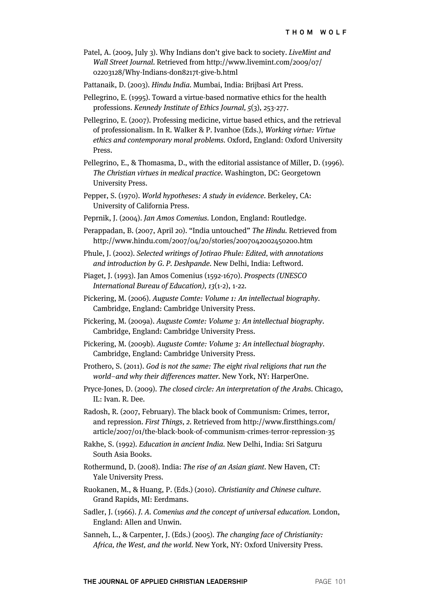- Patel, A. (2009, July 3). Why Indians don't give back to society. LiveMint and Wall Street Journal. Retrieved from http://www.livemint.com/2009/07/ 02203128/Why-Indians-don8217t-give-b.html
- Pattanaik, D. (2003). Hindu India. Mumbai, India: Brijbasi Art Press.
- Pellegrino, E. (1995). Toward a virtue-based normative ethics for the health professions. Kennedy Institute of Ethics Journal, 5(3), 253-277.
- Pellegrino, E. (2007). Professing medicine, virtue based ethics, and the retrieval of professionalism. In R. Walker & P. Ivanhoe (Eds.), Working virtue: Virtue ethics and contemporary moral problems. Oxford, England: Oxford University Press.
- Pellegrino, E., & Thomasma, D., with the editorial assistance of Miller, D. (1996). The Christian virtues in medical practice. Washington, DC: Georgetown University Press.
- Pepper, S. (1970). World hypotheses: A study in evidence. Berkeley, CA: University of California Press.
- Peprnik, J. (2004). Jan Amos Comenius. London, England: Routledge.
- Perappadan, B. (2007, April 20). "India untouched" The Hindu. Retrieved from http://www.hindu.com/2007/04/20/stories/2007042002450200.htm
- Phule, J. (2002). Selected writings of Jotirao Phule: Edited, with annotations and introduction by G. P. Deshpande. New Delhi, India: Leftword.
- Piaget, J. (1993). Jan Amos Comenius (1592-1670). Prospects (UNESCO International Bureau of Education), 13(1-2), 1-22.
- Pickering, M. (2006). Auguste Comte: Volume 1: An intellectual biography. Cambridge, England: Cambridge University Press.
- Pickering, M. (2009a). Auguste Comte: Volume 3: An intellectual biography. Cambridge, England: Cambridge University Press.
- Pickering, M. (2009b). Auguste Comte: Volume 3: An intellectual biography. Cambridge, England: Cambridge University Press.
- Prothero, S. (2011). God is not the same: The eight rival religions that run the world–and why their differences matter. New York, NY: HarperOne.
- Pryce-Jones, D. (2009). The closed circle: An interpretation of the Arabs. Chicago, IL: Ivan. R. Dee.
- Radosh, R. (2007, February). The black book of Communism: Crimes, terror, and repression. First Things, 2. Retrieved from http://www.firstthings.com/ article/2007/01/the-black-book-of-communism-crimes-terror-repression-35
- Rakhe, S. (1992). Education in ancient India. New Delhi, India: Sri Satguru South Asia Books.
- Rothermund, D. (2008). India: The rise of an Asian giant. New Haven, CT: Yale University Press.
- Ruokanen, M., & Huang, P. (Eds.) (2010). Christianity and Chinese culture. Grand Rapids, MI: Eerdmans.
- Sadler, J. (1966). J. A. Comenius and the concept of universal education. London, England: Allen and Unwin.
- Sanneh, L., & Carpenter, J. (Eds.) (2005). The changing face of Christianity: Africa, the West, and the world. New York, NY: Oxford University Press.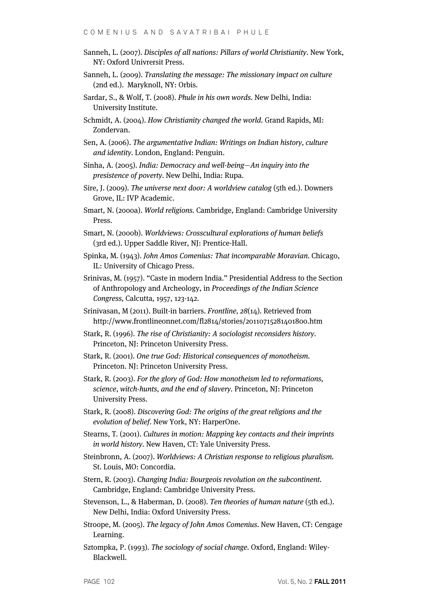- Sanneh, L. (2007). Disciples of all nations: Pillars of world Christianity. New York, NY: Oxford Univrersit Press.
- Sanneh, L. (2009). Translating the message: The missionary impact on culture (2nd ed.). Maryknoll, NY: Orbis.
- Sardar, S., & Wolf, T. (2008). Phule in his own words. New Delhi, India: University Institute.
- Schmidt, A. (2004). How Christianity changed the world. Grand Rapids, MI: Zondervan.
- Sen, A. (2006). The argumentative Indian: Writings on Indian history, culture and identity. London, England: Penguin.
- Sinha, A. (2005). India: Democracy and well-being—An inquiry into the presistence of poverty. New Delhi, India: Rupa.
- Sire, J. (2009). The universe next door: A worldview catalog (5th ed.). Downers Grove, IL: IVP Academic.
- Smart, N. (2000a). World religions. Cambridge, England: Cambridge University Press.
- Smart, N. (2000b). Worldviews: Crosscultural explorations of human beliefs (3rd ed.). Upper Saddle River, NJ: Prentice-Hall.
- Spinka, M. (1943). John Amos Comenius: That incomparable Moravian. Chicago, IL: University of Chicago Press.
- Srinivas, M. (1957). "Caste in modern India." Presidential Address to the Section of Anthropology and Archeology, in Proceedings of the Indian Science Congress, Calcutta, 1957, 123-142.
- Srinivasan, M (2011). Built-in barriers. Frontline, 28(14). Retrieved from http://www.frontlineonnet.com/fl2814/stories/20110715281401800.htm
- Stark, R. (1996). The rise of Christianity: A sociologist reconsiders history. Princeton, NJ: Princeton University Press.
- Stark, R. (2001). One true God: Historical consequences of monotheism. Princeton. NJ: Princeton University Press.
- Stark, R. (2003). For the glory of God: How monotheism led to reformations, science, witch-hunts, and the end of slavery. Princeton, NJ: Princeton University Press.
- Stark, R. (2008). Discovering God: The origins of the great religions and the evolution of belief. New York, NY: HarperOne.
- Stearns, T. (2001). Cultures in motion: Mapping key contacts and their imprints in world history. New Haven, CT: Yale University Press.
- Steinbronn, A. (2007). Worldviews: A Christian response to religious pluralism. St. Louis, MO: Concordia.
- Stern, R. (2003). Changing India: Bourgeois revolution on the subcontinent. Cambridge, England: Cambridge University Press.
- Stevenson, L., & Haberman, D. (2008). Ten theories of human nature (5th ed.). New Delhi, India: Oxford University Press.
- Stroope, M. (2005). The legacy of John Amos Comenius. New Haven, CT: Cengage Learning.
- Sztompka, P. (1993). The sociology of social change. Oxford, England: Wiley-Blackwell.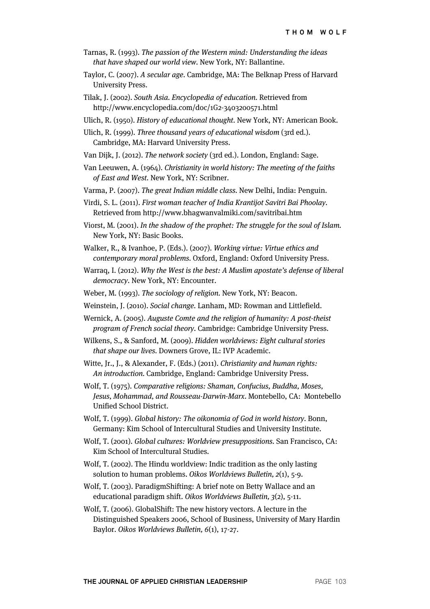- Tarnas, R. (1993). The passion of the Western mind: Understanding the ideas that have shaped our world view. New York, NY: Ballantine.
- Taylor, C. (2007). A secular age. Cambridge, MA: The Belknap Press of Harvard University Press.
- Tilak, J. (2002). South Asia. Encyclopedia of education. Retrieved from http://www.encyclopedia.com/doc/1G2-3403200571.html
- Ulich, R. (1950). History of educational thought. New York, NY: American Book.

- Van Dijk, J. (2012). The network society (3rd ed.). London, England: Sage.
- Van Leeuwen, A. (1964). Christianity in world history: The meeting of the faiths of East and West. New York, NY: Scribner.
- Varma, P. (2007). The great Indian middle class. New Delhi, India: Penguin.
- Virdi, S. L. (2011). First woman teacher of India Krantijot Savitri Bai Phoolay. Retrieved from http://www.bhagwanvalmiki.com/savitribai.htm
- Viorst, M. (2001). In the shadow of the prophet: The struggle for the soul of Islam. New York, NY: Basic Books.
- Walker, R., & Ivanhoe, P. (Eds.). (2007). Working virtue: Virtue ethics and contemporary moral problems. Oxford, England: Oxford University Press.
- Warraq, I. (2012). Why the West is the best: A Muslim apostate's defense of liberal democracy. New York, NY: Encounter.
- Weber, M. (1993). The sociology of religion. New York, NY: Beacon.
- Weinstein, J. (2010). Social change. Lanham, MD: Rowman and Littlefield.
- Wernick, A. (2005). Auguste Comte and the religion of humanity: A post-theist program of French social theory. Cambridge: Cambridge University Press.
- Wilkens, S., & Sanford, M. (2009). Hidden worldviews: Eight cultural stories that shape our lives. Downers Grove, IL: IVP Academic.
- Witte, Jr., J., & Alexander, F. (Eds.) (2011). Christianity and human rights: An introduction. Cambridge, England: Cambridge University Press.
- Wolf, T. (1975). Comparative religions: Shaman, Confucius, Buddha, Moses, Jesus, Mohammad, and Rousseau-Darwin-Marx. Montebello, CA: Montebello Unified School District.
- Wolf, T. (1999). Global history: The oikonomia of God in world history. Bonn, Germany: Kim School of Intercultural Studies and University Institute.
- Wolf, T. (2001). Global cultures: Worldview presuppositions. San Francisco, CA: Kim School of Intercultural Studies.
- Wolf, T. (2002). The Hindu worldview: Indic tradition as the only lasting solution to human problems. Oikos Worldviews Bulletin, 2(1), 5-9.
- Wolf, T. (2003). ParadigmShifting: A brief note on Betty Wallace and an educational paradigm shift. Oikos Worldviews Bulletin, 3(2), 5-11.
- Wolf, T. (2006). GlobalShift: The new history vectors. A lecture in the Distinguished Speakers 2006, School of Business, University of Mary Hardin Baylor. Oikos Worldviews Bulletin, 6(1), 17-27.

Ulich, R. (1999). Three thousand years of educational wisdom (3rd ed.). Cambridge, MA: Harvard University Press.